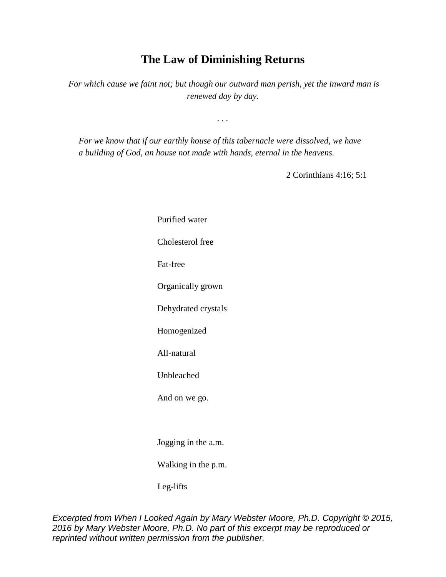## **The Law of Diminishing Returns**

*For which cause we faint not; but though our outward man perish, yet the inward man is renewed day by day.*

*. . .*

*For we know that if our earthly house of this tabernacle were dissolved, we have a building of God, an house not made with hands, eternal in the heavens.*

2 Corinthians 4:16; 5:1

 Purified water Cholesterol free Fat-free Organically grown Dehydrated crystals Homogenized All-natural Unbleached And on we go. Jogging in the a.m.

Walking in the p.m.

Leg-lifts

*Excerpted from When I Looked Again by Mary Webster Moore, Ph.D. Copyright © 2015, 2016 by Mary Webster Moore, Ph.D. No part of this excerpt may be reproduced or reprinted without written permission from the publisher.*